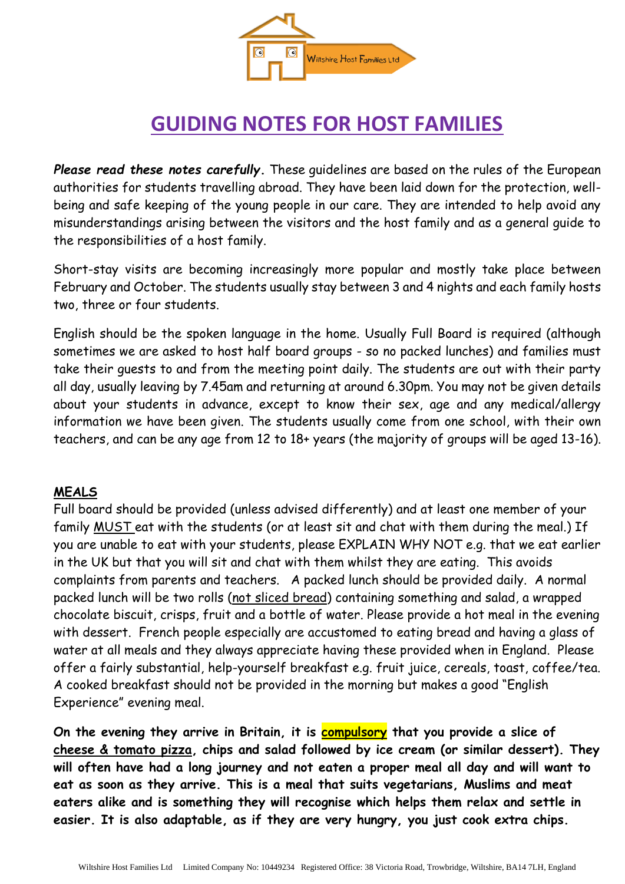

# **GUIDING NOTES FOR HOST FAMILIES**

*Please read these notes carefully***.** These guidelines are based on the rules of the European authorities for students travelling abroad. They have been laid down for the protection, wellbeing and safe keeping of the young people in our care. They are intended to help avoid any misunderstandings arising between the visitors and the host family and as a general guide to the responsibilities of a host family.

Short-stay visits are becoming increasingly more popular and mostly take place between February and October. The students usually stay between 3 and 4 nights and each family hosts two, three or four students.

English should be the spoken language in the home. Usually Full Board is required (although sometimes we are asked to host half board groups - so no packed lunches) and families must take their guests to and from the meeting point daily. The students are out with their party all day, usually leaving by 7.45am and returning at around 6.30pm. You may not be given details about your students in advance, except to know their sex, age and any medical/allergy information we have been given. The students usually come from one school, with their own teachers, and can be any age from 12 to 18+ years (the majority of groups will be aged 13-16).

#### **MEALS**

Full board should be provided (unless advised differently) and at least one member of your family MUST eat with the students (or at least sit and chat with them during the meal.) If you are unable to eat with your students, please EXPLAIN WHY NOT e.g. that we eat earlier in the UK but that you will sit and chat with them whilst they are eating. This avoids complaints from parents and teachers. A packed lunch should be provided daily. A normal packed lunch will be two rolls (not sliced bread) containing something and salad, a wrapped chocolate biscuit, crisps, fruit and a bottle of water. Please provide a hot meal in the evening with dessert. French people especially are accustomed to eating bread and having a glass of water at all meals and they always appreciate having these provided when in England. Please offer a fairly substantial, help-yourself breakfast e.g. fruit juice, cereals, toast, coffee/tea. A cooked breakfast should not be provided in the morning but makes a good "English Experience" evening meal.

**On the evening they arrive in Britain, it is compulsory that you provide a slice of cheese & tomato pizza, chips and salad followed by ice cream (or similar dessert). They will often have had a long journey and not eaten a proper meal all day and will want to eat as soon as they arrive. This is a meal that suits vegetarians, Muslims and meat eaters alike and is something they will recognise which helps them relax and settle in easier. It is also adaptable, as if they are very hungry, you just cook extra chips.**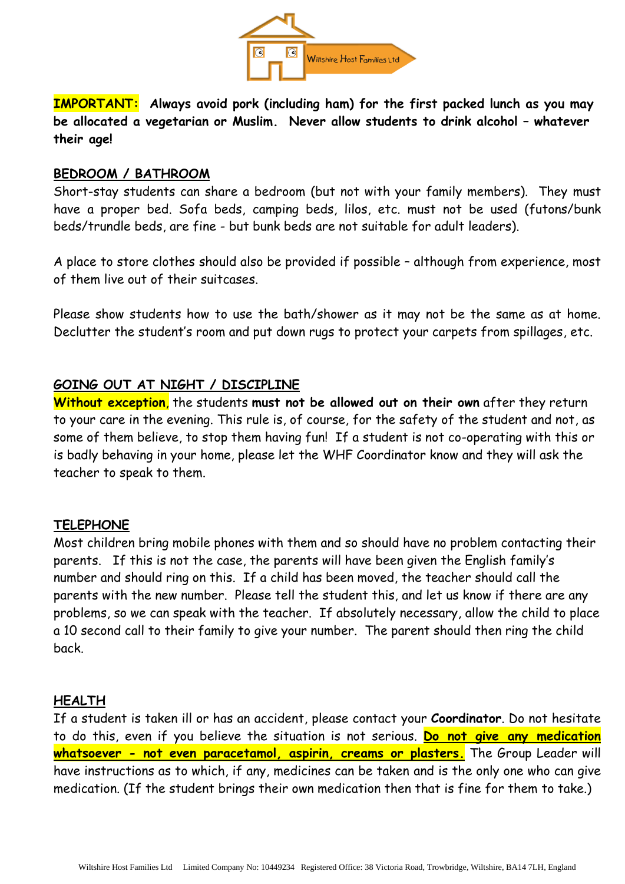

**IMPORTANT: Always avoid pork (including ham) for the first packed lunch as you may be allocated a vegetarian or Muslim. Never allow students to drink alcohol – whatever their age!**

#### **BEDROOM / BATHROOM**

Short-stay students can share a bedroom (but not with your family members). They must have a proper bed. Sofa beds, camping beds, lilos, etc. must not be used (futons/bunk beds/trundle beds, are fine - but bunk beds are not suitable for adult leaders).

A place to store clothes should also be provided if possible – although from experience, most of them live out of their suitcases.

Please show students how to use the bath/shower as it may not be the same as at home. Declutter the student's room and put down rugs to protect your carpets from spillages, etc.

### **GOING OUT AT NIGHT / DISCIPLINE**

**Without exception**, the students **must not be allowed out on their own** after they return to your care in the evening. This rule is, of course, for the safety of the student and not, as some of them believe, to stop them having fun! If a student is not co-operating with this or is badly behaving in your home, please let the WHF Coordinator know and they will ask the teacher to speak to them.

#### **TELEPHONE**

Most children bring mobile phones with them and so should have no problem contacting their parents. If this is not the case, the parents will have been given the English family's number and should ring on this. If a child has been moved, the teacher should call the parents with the new number. Please tell the student this, and let us know if there are any problems, so we can speak with the teacher. If absolutely necessary, allow the child to place a 10 second call to their family to give your number. The parent should then ring the child back.

#### **HEALTH**

If a student is taken ill or has an accident, please contact your **Coordinator**. Do not hesitate to do this, even if you believe the situation is not serious. **Do not give any medication whatsoever - not even paracetamol, aspirin, creams or plasters.** The Group Leader will have instructions as to which, if any, medicines can be taken and is the only one who can give medication. (If the student brings their own medication then that is fine for them to take.)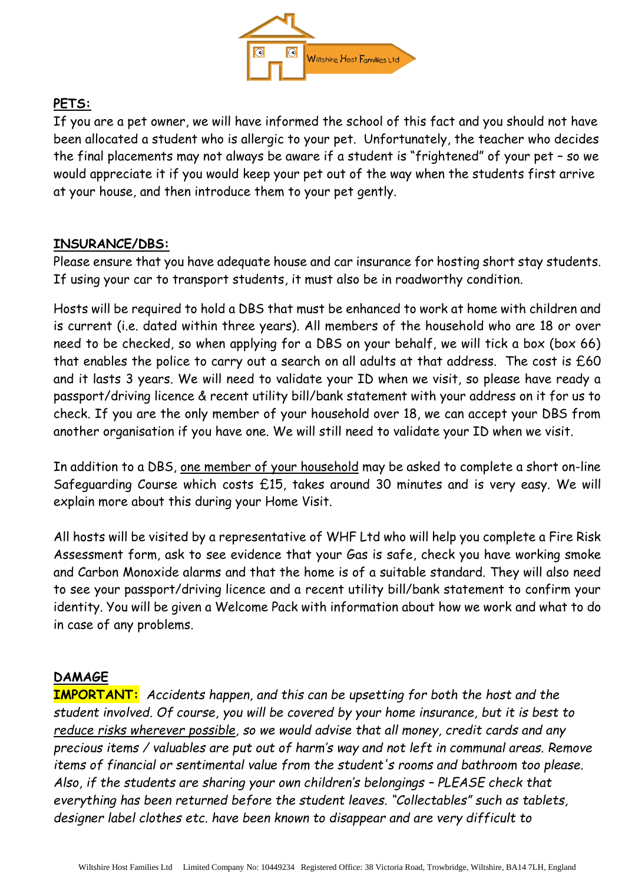

# **PETS:**

If you are a pet owner, we will have informed the school of this fact and you should not have been allocated a student who is allergic to your pet. Unfortunately, the teacher who decides the final placements may not always be aware if a student is "frightened" of your pet – so we would appreciate it if you would keep your pet out of the way when the students first arrive at your house, and then introduce them to your pet gently.

### **INSURANCE/DBS:**

Please ensure that you have adequate house and car insurance for hosting short stay students. If using your car to transport students, it must also be in roadworthy condition.

Hosts will be required to hold a DBS that must be enhanced to work at home with children and is current (i.e. dated within three years). All members of the household who are 18 or over need to be checked, so when applying for a DBS on your behalf, we will tick a box (box 66) that enables the police to carry out a search on all adults at that address. The cost is  $£60$ and it lasts 3 years. We will need to validate your ID when we visit, so please have ready a passport/driving licence & recent utility bill/bank statement with your address on it for us to check. If you are the only member of your household over 18, we can accept your DBS from another organisation if you have one. We will still need to validate your ID when we visit.

In addition to a DBS, one member of your household may be asked to complete a short on-line Safeguarding Course which costs £15, takes around 30 minutes and is very easy. We will explain more about this during your Home Visit.

All hosts will be visited by a representative of WHF Ltd who will help you complete a Fire Risk Assessment form, ask to see evidence that your Gas is safe, check you have working smoke and Carbon Monoxide alarms and that the home is of a suitable standard. They will also need to see your passport/driving licence and a recent utility bill/bank statement to confirm your identity. You will be given a Welcome Pack with information about how we work and what to do in case of any problems.

# **DAMAGE**

**IMPORTANT:** *Accidents happen, and this can be upsetting for both the host and the student involved. Of course, you will be covered by your home insurance, but it is best to reduce risks wherever possible, so we would advise that all money, credit cards and any precious items / valuables are put out of harm's way and not left in communal areas. Remove items of financial or sentimental value from the student's rooms and bathroom too please. Also, if the students are sharing your own children's belongings – PLEASE check that everything has been returned before the student leaves. "Collectables" such as tablets, designer label clothes etc. have been known to disappear and are very difficult to*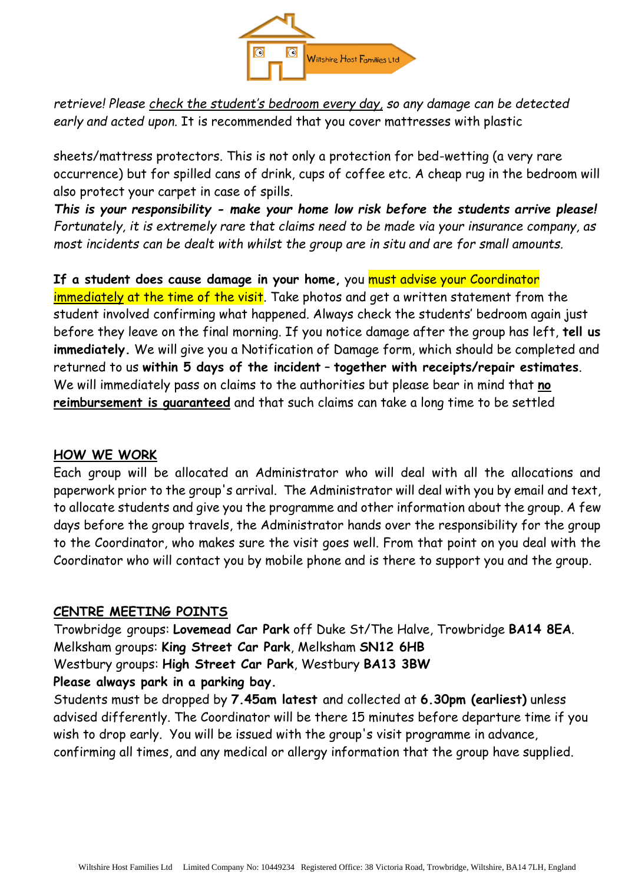

*retrieve! Please check the student's bedroom every day, so any damage can be detected early and acted upon.* It is recommended that you cover mattresses with plastic

sheets/mattress protectors. This is not only a protection for bed-wetting (a very rare occurrence) but for spilled cans of drink, cups of coffee etc. A cheap rug in the bedroom will also protect your carpet in case of spills.

*This is your responsibility - make your home low risk before the students arrive please! Fortunately, it is extremely rare that claims need to be made via your insurance company, as most incidents can be dealt with whilst the group are in situ and are for small amounts.*

**If a student does cause damage in your home,** you must advise your Coordinator immediately at the time of the visit. Take photos and get a written statement from the student involved confirming what happened. Always check the students' bedroom again just before they leave on the final morning. If you notice damage after the group has left, **tell us immediately.** We will give you a Notification of Damage form, which should be completed and returned to us **within 5 days of the incident** – **together with receipts/repair estimates**. We will immediately pass on claims to the authorities but please bear in mind that **no reimbursement is guaranteed** and that such claims can take a long time to be settled

# **HOW WE WORK**

Each group will be allocated an Administrator who will deal with all the allocations and paperwork prior to the group's arrival. The Administrator will deal with you by email and text, to allocate students and give you the programme and other information about the group. A few days before the group travels, the Administrator hands over the responsibility for the group to the Coordinator, who makes sure the visit goes well. From that point on you deal with the Coordinator who will contact you by mobile phone and is there to support you and the group.

#### **CENTRE MEETING POINTS**

Trowbridge groups: **Lovemead Car Park** off Duke St/The Halve, Trowbridge **BA14 8EA**. Melksham groups: **King Street Car Park**, Melksham **SN12 6HB** Westbury groups: **High Street Car Park**, Westbury **BA13 3BW Please always park in a parking bay.** 

Students must be dropped by **7.45am latest** and collected at **6.30pm (earliest)** unless advised differently. The Coordinator will be there 15 minutes before departure time if you wish to drop early. You will be issued with the group's visit programme in advance, confirming all times, and any medical or allergy information that the group have supplied.